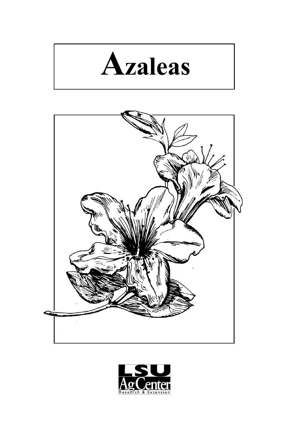



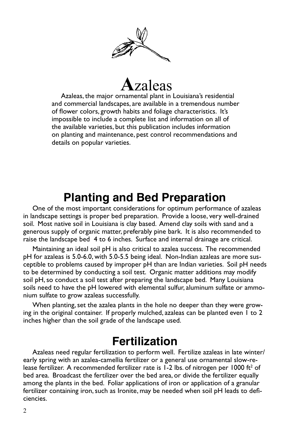



 $\bf{A}$ za $\bf{le}$ as<br>Azaleas, the major ornamental plant in Louisiana's residential and commercial landscapes, are available in a tremendous number of flower colors, growth habits and foliage characteristics. It's impossible to include a complete list and information on all of the available varieties, but this publication includes information on planting and maintenance, pest control recommendations and details on popular varieties.

## **Planting and Bed Preparation**

One of the most important considerations for optimum performance of azaleas in landscape settings is proper bed preparation. Provide a loose, very well-drained soil. Most native soil in Louisiana is clay based. Amend clay soils with sand and a generous supply of organic matter, preferably pine bark. It is also recommended to raise the landscape bed 4 to 6 inches. Surface and internal drainage are critical.

Maintaining an ideal soil pH is also critical to azalea success. The recommended pH for azaleas is 5.0-6.0, with 5.0-5.5 being ideal. Non-Indian azaleas are more susceptible to problems caused by improper pH than are Indian varieties. Soil pH needs to be determined by conducting a soil test. Organic matter additions may modify soil pH, so conduct a soil test after preparing the landscape bed. Many Louisiana soils need to have the pH lowered with elemental sulfur, aluminum sulfate or ammonium sulfate to grow azaleas successfully.

When planting, set the azalea plants in the hole no deeper than they were growing in the original container. If properly mulched, azaleas can be planted even 1 to 2 inches higher than the soil grade of the landscape used.

### **Fertilization**

Azaleas need regular fertilization to perform well. Fertilize azaleas in late winter/ early spring with an azalea-camellia fertilizer or a general use ornamental slow-release fertilizer. A recommended fertilizer rate is 1-2 lbs. of nitrogen per 1000 ft<sup>2</sup> of bed area. Broadcast the fertilizer over the bed area, or divide the fertilizer equally among the plants in the bed. Foliar applications of iron or application of a granular fertilizer containing iron, such as Ironite, may be needed when soil pH leads to deficiencies.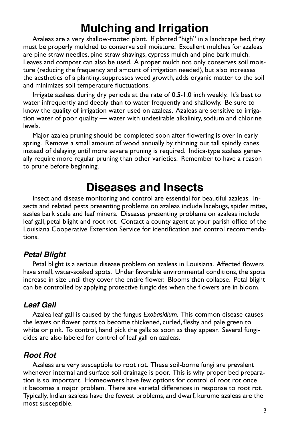# **Mulching and Irrigation**

Azaleas are a very shallow-rooted plant. If planted "high" in a landscape bed, they must be properly mulched to conserve soil moisture. Excellent mulches for azaleas are pine straw needles, pine straw shavings, cypress mulch and pine bark mulch. Leaves and compost can also be used. A proper mulch not only conserves soil moisture (reducing the frequency and amount of irrigation needed), but also increases the aesthetics of a planting, suppresses weed growth, adds organic matter to the soil and minimizes soil temperature fluctuations.

Irrigate azaleas during dry periods at the rate of 0.5-1.0 inch weekly. It's best to water infrequently and deeply than to water frequently and shallowly. Be sure to know the quality of irrigation water used on azaleas. Azaleas are sensitive to irrigation water of poor quality — water with undesirable alkalinity, sodium and chlorine levels.

Major azalea pruning should be completed soon after flowering is over in early spring. Remove a small amount of wood annually by thinning out tall spindly canes instead of delaying until more severe pruning is required. Indica-type azaleas generally require more regular pruning than other varieties. Remember to have a reason to prune before beginning.

### **Diseases and Insects**

Insect and disease monitoring and control are essential for beautiful azaleas. Insects and related pests presenting problems on azaleas include lacebugs, spider mites, azalea bark scale and leaf miners. Diseases presenting problems on azaleas include leaf gall, petal blight and root rot. Contact a county agent at your parish office of the Louisiana Cooperative Extension Service for identification and control recommendations.

#### *Petal Blight*

Petal blight is a serious disease problem on azaleas in Louisiana. Affected flowers have small, water-soaked spots. Under favorable environmental conditions, the spots increase in size until they cover the entire flower. Blooms then collapse. Petal blight can be controlled by applying protective fungicides when the flowers are in bloom.

#### *Leaf Gall*

Azalea leaf gall is caused by the fungus *Exobasidium.* This common disease causes the leaves or flower parts to become thickened, curled, fleshy and pale green to white or pink. To control, hand pick the galls as soon as they appear. Several fungicides are also labeled for control of leaf gall on azaleas.

#### *Root Rot*

Azaleas are very susceptible to root rot. These soil-borne fungi are prevalent whenever internal and surface soil drainage is poor. This is why proper bed preparation is so important. Homeowners have few options for control of root rot once it becomes a major problem. There are varietal differences in response to root rot. Typically, Indian azaleas have the fewest problems, and dwarf, kurume azaleas are the most susceptible.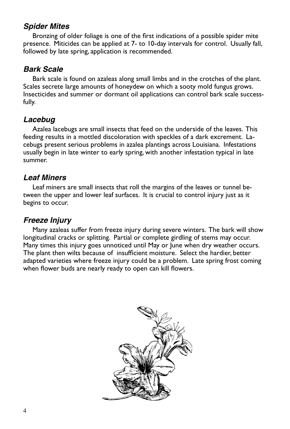#### *Spider Mites*

Bronzing of older foliage is one of the first indications of a possible spider mite presence. Miticides can be applied at 7- to 10-day intervals for control. Usually fall, followed by late spring, application is recommended.

#### *Bark Scale*

Bark scale is found on azaleas along small limbs and in the crotches of the plant. Scales secrete large amounts of honeydew on which a sooty mold fungus grows. Insecticides and summer or dormant oil applications can control bark scale successfully.

#### *Lacebug*

Azalea lacebugs are small insects that feed on the underside of the leaves. This feeding results in a mottled discoloration with speckles of a dark excrement. Lacebugs present serious problems in azalea plantings across Louisiana. Infestations usually begin in late winter to early spring, with another infestation typical in late summer.

#### *Leaf Miners*

Leaf miners are small insects that roll the margins of the leaves or tunnel between the upper and lower leaf surfaces. It is crucial to control injury just as it begins to occur.

### *Freeze Injury*

Many azaleas suffer from freeze injury during severe winters. The bark will show longitudinal cracks or splitting. Partial or complete girdling of stems may occur. Many times this injury goes unnoticed until May or June when dry weather occurs. The plant then wilts because of insufficient moisture. Select the hardier, better adapted varieties where freeze injury could be a problem. Late spring frost coming when flower buds are nearly ready to open can kill flowers.

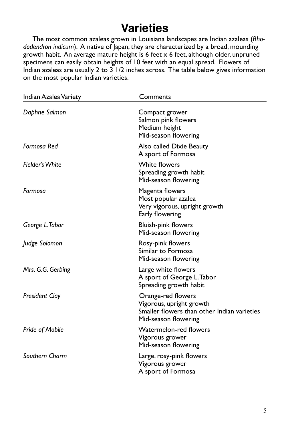# **Varieties**

The most common azaleas grown in Louisiana landscapes are Indian azaleas (*Rhododendron indicum*). A native of Japan, they are characterized by a broad, mounding growth habit. An average mature height is 6 feet x 6 feet, although older, unpruned specimens can easily obtain heights of 10 feet with an equal spread. Flowers of Indian azaleas are usually 2 to  $3$  1/2 inches across. The table below gives information on the most popular Indian varieties.

| Indian Azalea Variety  | Comments                                                                                                              |
|------------------------|-----------------------------------------------------------------------------------------------------------------------|
| Daphne Salmon          | Compact grower<br>Salmon pink flowers<br>Medium height<br>Mid-season flowering                                        |
| Formosa Red            | Also called Dixie Beauty<br>A sport of Formosa                                                                        |
| Fielder's White        | <b>White flowers</b><br>Spreading growth habit<br>Mid-season flowering                                                |
| Formosa                | Magenta flowers<br>Most popular azalea<br>Very vigorous, upright growth<br>Early flowering                            |
| George L. Tabor        | <b>Bluish-pink flowers</b><br>Mid-season flowering                                                                    |
| Judge Solomon          | Rosy-pink flowers<br>Similar to Formosa<br>Mid-season flowering                                                       |
| Mrs. G.G. Gerbing      | Large white flowers<br>A sport of George L. Tabor<br>Spreading growth habit                                           |
| <b>President Clay</b>  | Orange-red flowers<br>Vigorous, upright growth<br>Smaller flowers than other Indian varieties<br>Mid-season flowering |
| <b>Pride of Mobile</b> | Watermelon-red flowers<br>Vigorous grower<br>Mid-season flowering                                                     |
| Southern Charm         | Large, rosy-pink flowers<br>Vigorous grower<br>A sport of Formosa                                                     |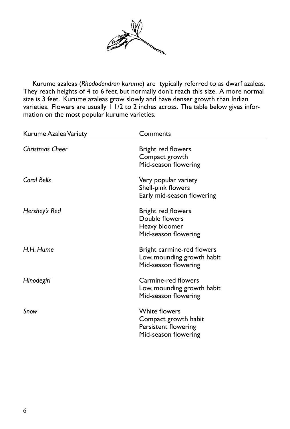

Kurume azaleas (*Rhododendron kurume*) are typically referred to as dwarf azaleas. They reach heights of 4 to 6 feet, but normally don't reach this size. A more normal size is 3 feet. Kurume azaleas grow slowly and have denser growth than Indian varieties. Flowers are usually 1 1/2 to 2 inches across. The table below gives information on the most popular kurume varieties.

| Kurume Azalea Variety | Comments                                                                                     |
|-----------------------|----------------------------------------------------------------------------------------------|
| Christmas Cheer       | Bright red flowers<br>Compact growth<br>Mid-season flowering                                 |
| Coral Bells           | Very popular variety<br>Shell-pink flowers<br>Early mid-season flowering                     |
| Hershey's Red         | Bright red flowers<br>Double flowers<br>Heavy bloomer<br>Mid-season flowering                |
| H.H. Hume             | Bright carmine-red flowers<br>Low, mounding growth habit<br>Mid-season flowering             |
| Hinodegiri            | Carmine-red flowers<br>Low, mounding growth habit<br>Mid-season flowering                    |
| Snow                  | <b>White flowers</b><br>Compact growth habit<br>Persistent flowering<br>Mid-season flowering |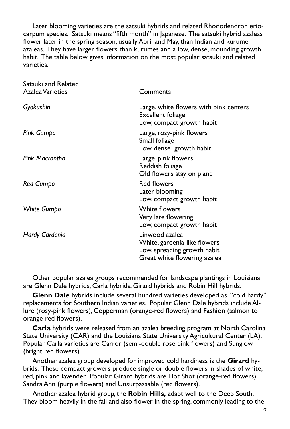Later blooming varieties are the satsuki hybrids and related Rhododendron eriocarpum species. Satsuki means "fifth month" in Japanese. The satsuki hybrid azaleas flower later in the spring season, usually April and May, than Indian and kurume azaleas. They have larger flowers than kurumes and a low, dense, mounding growth habit. The table below gives information on the most popular satsuki and related varieties.

| Satsuki and Related<br><b>Azalea Varieties</b> | Comments                                                                                                      |
|------------------------------------------------|---------------------------------------------------------------------------------------------------------------|
| Gyokushin                                      | Large, white flowers with pink centers<br>Excellent foliage<br>Low, compact growth habit                      |
| Pink Gumpo                                     | Large, rosy-pink flowers<br>Small foliage<br>Low, dense growth habit                                          |
| Pink Macrantha                                 | Large, pink flowers<br>Reddish foliage<br>Old flowers stay on plant                                           |
| Red Gumpo                                      | <b>Red flowers</b><br>Later blooming<br>Low, compact growth habit                                             |
| White Gumpo                                    | <b>White flowers</b><br>Very late flowering<br>Low, compact growth habit                                      |
| Hardy Gardenia                                 | Linwood azalea<br>White, gardenia-like flowers<br>Low, spreading growth habit<br>Great white flowering azalea |

Other popular azalea groups recommended for landscape plantings in Louisiana are Glenn Dale hybrids, Carla hybrids, Girard hybrids and Robin Hill hybrids.

**Glenn Dale** hybrids include several hundred varieties developed as "cold hardy" replacements for Southern Indian varieties. Popular Glenn Dale hybrids include Allure (rosy-pink flowers), Copperman (orange-red flowers) and Fashion (salmon to orange-red flowers).

**Carla** hybrids were released from an azalea breeding program at North Carolina State University (CAR) and the Louisiana State University Agricultural Center (LA). Popular Carla varieties are Carror (semi-double rose pink flowers) and Sunglow (bright red flowers).

Another azalea group developed for improved cold hardiness is the **Girard** hybrids. These compact growers produce single or double flowers in shades of white, red, pink and lavender. Popular Girard hybrids are Hot Shot (orange-red flowers), Sandra Ann (purple flowers) and Unsurpassable (red flowers).

Another azalea hybrid group, the **Robin Hills,** adapt well to the Deep South. They bloom heavily in the fall and also flower in the spring, commonly leading to the